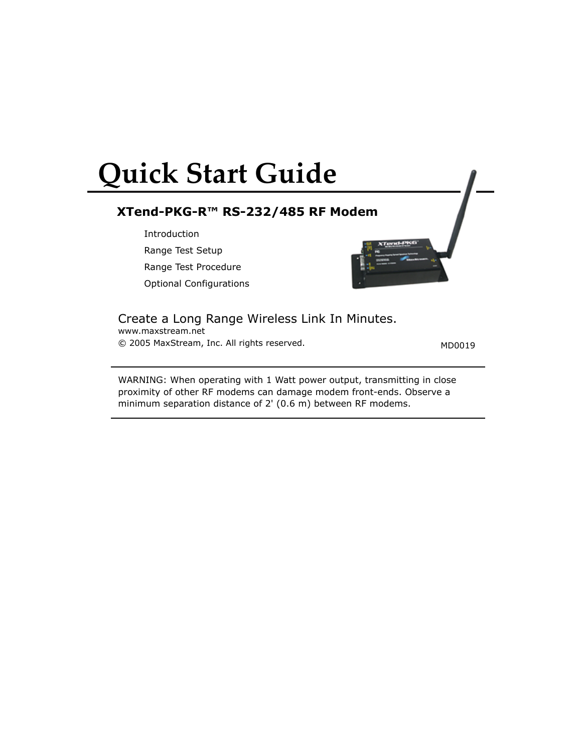# **Quick Start Guide**

## **XTend-PKG-R™ RS-232/485 RF Modem**

Introduction Range Test Setup

Range Test Procedure

Optional Configurations



www.maxstream.net Create a Long Range Wireless Link In Minutes.

© 2005 MaxStream, Inc. All rights reserved. MD0019

WARNING: When operating with 1 Watt power output, transmitting in close proximity of other RF modems can damage modem front-ends. Observe a minimum separation distance of 2' (0.6 m) between RF modems.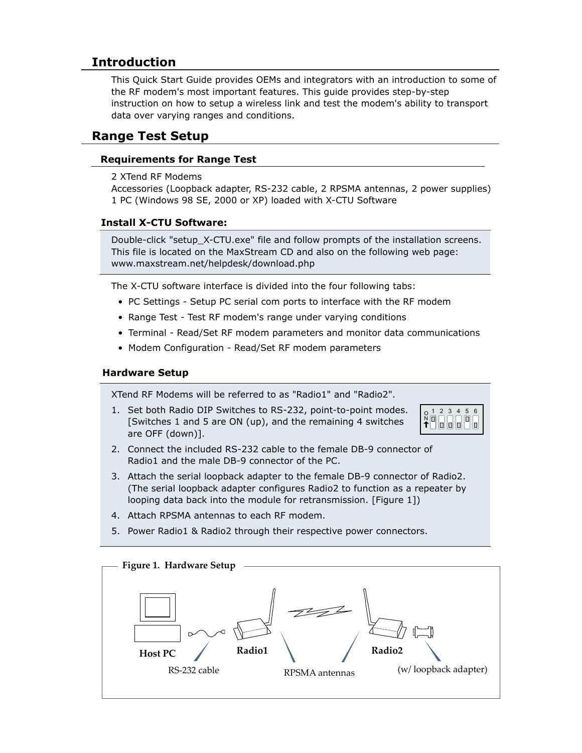## **Introduction**

This Quick Start Guide provides OEMs and integrators with an introduction to some of the RF modem's most important features. This guide provides step-by-step instruction on how to setup a wireless link and test the modem's ability to transport data over varying ranges and conditions.

## **Range Test Setup**

## **Requirements for Range Test**

2 XTend RF Modems

Accessories (Loopback adapter, RS-232 cable, 2 RPSMA antennas, 2 power supplies) 1 PC (Windows 98 SE, 2000 or XP) loaded with X-CTU Software

## **Install X-CTU Software:**

Double-click "setup\_X-CTU.exe" file and follow prompts of the installation screens. This file is located on the MaxStream CD and also on the following web page: www.maxstream.net/helpdesk/download.php

The X-CTU software interface is divided into the four following tabs:

- PC Settings Setup PC serial com ports to interface with the RF modem
- Range Test Test RF modem's range under varying conditions
- Terminal Read/Set RF modem parameters and monitor data communications
- Modem Configuration Read/Set RF modem parameters

### **Hardware Setup**

XTend RF Modems will be referred to as "Radio1" and "Radio2".

1. Set both Radio DIP Switches to RS-232, point-to-point modes. [Switches 1 and 5 are ON (up), and the remaining 4 switches are OFF (down)].



- 2. Connect the included RS-232 cable to the female DB-9 connector of Radio1 and the male DB-9 connector of the PC.
- 3. Attach the serial loopback adapter to the female DB-9 connector of Radio2. (The serial loopback adapter configures Radio2 to function as a repeater by looping data back into the module for retransmission. [Figure 1])
- 4. Attach RPSMA antennas to each RF modem.
- 5. Power Radio1 & Radio2 through their respective power connectors.

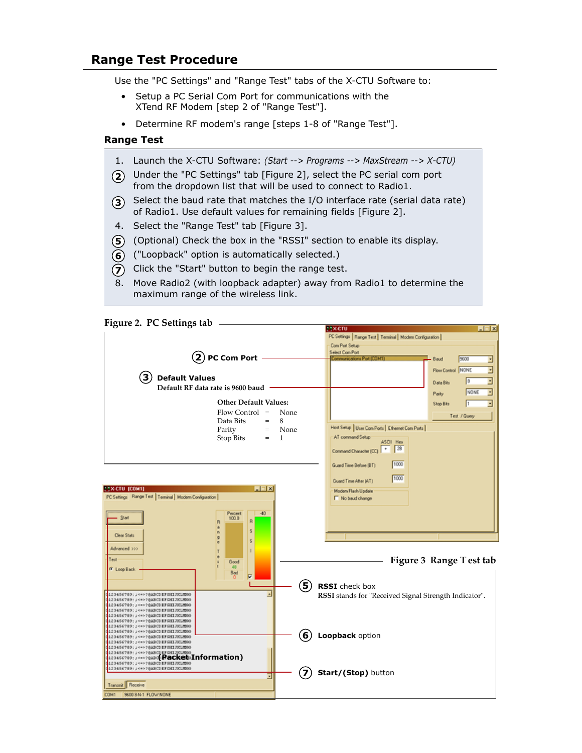## **Range Test Procedure**

Use the "PC Settings" and "Range Test" tabs of the X-CTU Software to:

- Setup a PC Serial Com Port for communications with the XTend RF Modem [step 2 of "Range Test"].
- Determine RF modem's range [steps 1-8 of "Range Test"].

#### **Range Test**

- 1. Launch the X-CTU Software: *(Start --> Programs --> MaxStream --> X-CTU)*
- Under the "PC Settings" tab [Figure 2], select the PC serial com port **2** from the dropdown list that will be used to connect to Radio1.
- **3** Select the baud rate that matches the I/O interface rate (serial data rate) of Radio1. Use default values for remaining fields [Figure 2].
- 4. Select the "Range Test" tab [Figure 3].
- (Optional) Check the box in the "RSSI" section to enable its display. **5**
- ("Loopback" option is automatically selected.) **6**
- **7**) Click the "Start" button to begin the range test.
- 8. Move Radio2 (with loopback adapter) away from Radio1 to determine the maximum range of the wireless link.